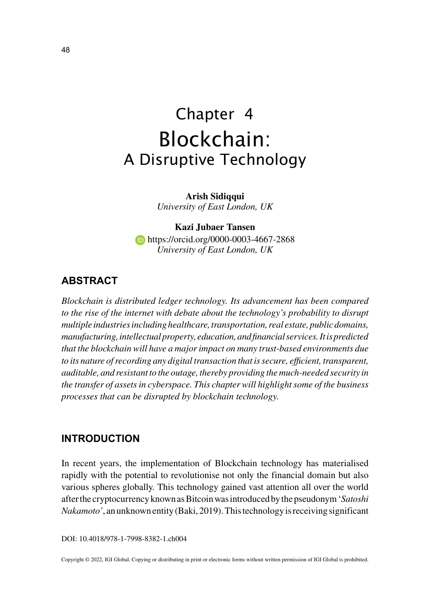# Chapter 4 Blockchain: A Disruptive Technology

**Arish Sidiqqui** *University of East London, UK*

**Kazi Jubaer Tansen https://orcid.org/0000-0003-4667-2868** *University of East London, UK*

### **ABSTRACT**

*Blockchain is distributed ledger technology. Its advancement has been compared to the rise of the internet with debate about the technology's probability to disrupt multiple industries including healthcare, transportation, real estate, public domains, manufacturing, intellectual property, education, and financial services. It is predicted that the blockchain will have a major impact on many trust-based environments due to its nature of recording any digital transaction that is secure, efficient, transparent, auditable, and resistant to the outage, thereby providing the much-needed security in the transfer of assets in cyberspace. This chapter will highlight some of the business processes that can be disrupted by blockchain technology.*

#### **INTRODUCTION**

In recent years, the implementation of Blockchain technology has materialised rapidly with the potential to revolutionise not only the financial domain but also various spheres globally. This technology gained vast attention all over the world after the cryptocurrency known as Bitcoin was introduced by the pseudonym '*Satoshi Nakamoto'*, an unknown entity (Baki, 2019). This technology is receiving significant

DOI: 10.4018/978-1-7998-8382-1.ch004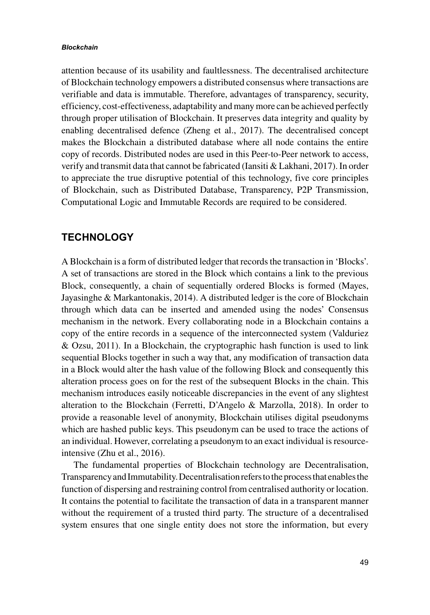#### *Blockchain*

attention because of its usability and faultlessness. The decentralised architecture of Blockchain technology empowers a distributed consensus where transactions are verifiable and data is immutable. Therefore, advantages of transparency, security, efficiency, cost-effectiveness, adaptability and many more can be achieved perfectly through proper utilisation of Blockchain. It preserves data integrity and quality by enabling decentralised defence (Zheng et al., 2017). The decentralised concept makes the Blockchain a distributed database where all node contains the entire copy of records. Distributed nodes are used in this Peer-to-Peer network to access, verify and transmit data that cannot be fabricated (Iansiti & Lakhani, 2017). In order to appreciate the true disruptive potential of this technology, five core principles of Blockchain, such as Distributed Database, Transparency, P2P Transmission, Computational Logic and Immutable Records are required to be considered.

#### **TECHNOLOGY**

A Blockchain is a form of distributed ledger that records the transaction in 'Blocks'. A set of transactions are stored in the Block which contains a link to the previous Block, consequently, a chain of sequentially ordered Blocks is formed (Mayes, Jayasinghe & Markantonakis, 2014). A distributed ledger is the core of Blockchain through which data can be inserted and amended using the nodes' Consensus mechanism in the network. Every collaborating node in a Blockchain contains a copy of the entire records in a sequence of the interconnected system (Valduriez & Ozsu, 2011). In a Blockchain, the cryptographic hash function is used to link sequential Blocks together in such a way that, any modification of transaction data in a Block would alter the hash value of the following Block and consequently this alteration process goes on for the rest of the subsequent Blocks in the chain. This mechanism introduces easily noticeable discrepancies in the event of any slightest alteration to the Blockchain (Ferretti, D'Angelo & Marzolla, 2018). In order to provide a reasonable level of anonymity, Blockchain utilises digital pseudonyms which are hashed public keys. This pseudonym can be used to trace the actions of an individual. However, correlating a pseudonym to an exact individual is resourceintensive (Zhu et al., 2016).

The fundamental properties of Blockchain technology are Decentralisation, Transparency and Immutability. Decentralisation refers to the process that enables the function of dispersing and restraining control from centralised authority or location. It contains the potential to facilitate the transaction of data in a transparent manner without the requirement of a trusted third party. The structure of a decentralised system ensures that one single entity does not store the information, but every